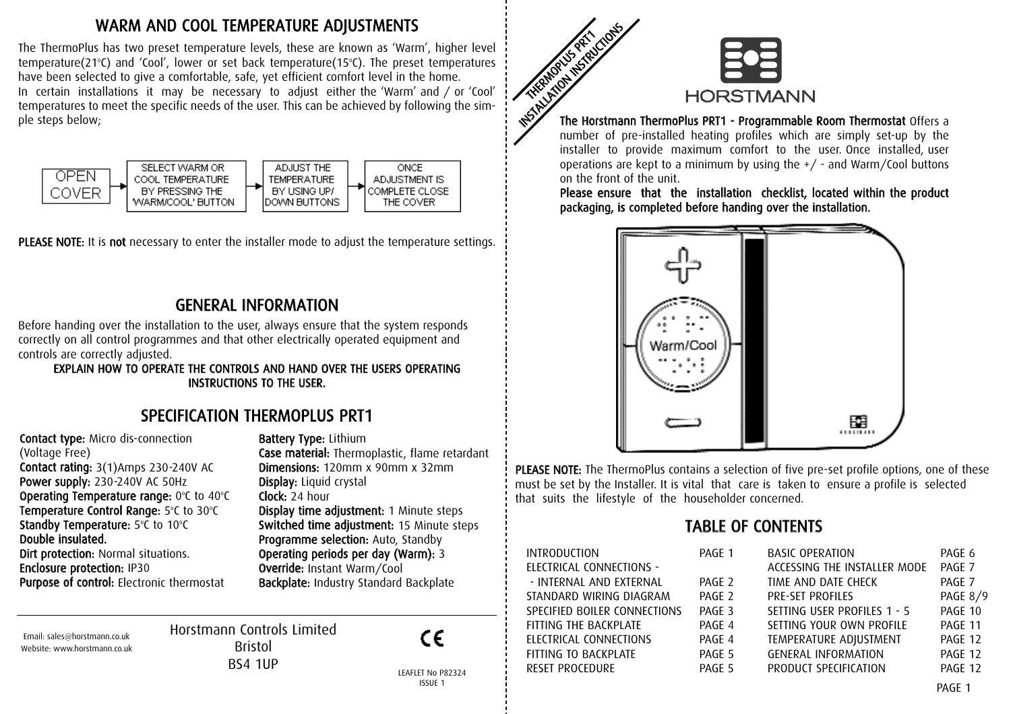#### WARM AND COOL TEMPERATURE ADJUSTMENTS

The ThermoPlus has two preset temperature levels, these are known as 'Warm', higher level temperature(21 $^{\circ}$ C) and 'Cool', lower or set back temperature(15 $^{\circ}$ C). The preset temperatures have been selected to give a comfortable, safe, yet efficient comfort level in the home. In certain installations it may be necessary to adjust either the 'Warm' and / or 'Cool' temperatures to meet the specific needs of the user. This can be achieved by following the simple steps below;



PLEASE NOTE: It is not necessary to enter the installer mode to adjust the temperature settings.

#### GENERAL INFORMATION

Before handing over the installation to the user, always ensure that the system responds correctly on all control programmes and that other electrically operated equipment and controls are correctly adjusted.

EXPLAIN HOW TO OPERATE THE CONTROLS AND HAND OVER THE USERS OPERATING INSTRUCTIONS TO THE USER.

#### SPECIFICATION THERMOPLUS PRT1

Contact type: Micro dis-connection (Voltage Free) Contact rating: 3(1)Amps 230-240V AC Power supply: 230-240V AC 50Hz **Operating Temperature range:**  $0^{\circ}$ C to  $40^{\circ}$ C Temperature Control Range: 5°C to 30°C Standby Temperature: 5°C to 10°C Double insulated. Dirt protection: Normal situations. Enclosure protection: IP30 Purpose of control: Electronic thermostat

Battery Type: Lithium Case material: Thermoplastic, flame retardant Dimensions: 120mm x 90mm x 32mm Display: Liquid crystal Clock: 24 hour Display time adjustment: 1 Minute steps Switched time adjustment: 15 Minute steps Programme selection: Auto, Standby Operating periods per day (Warm): 3 Override: Instant Warm/Cool Backplate: Industry Standard Backplate

Email: sales@horstmann.co.uk Website: www.horstmann.co.uk Horstmann Controls Limited Bristol BS4 1UP



LEAFLET No P82324 PAGE ISSUE 1



The Horstmann ThermoPlus PRT1 - Programmable Room Thermostat Offers a number of pre-installed heating profiles which are simply set-up by the installer to provide maximum comfort to the user Once installed, user operations are kept to a minimum by using the +/ - and Warm/Cool buttons on the front of the unit.

Please ensure that the installation checklist, located within the product packaging, is completed before handing over the installation.



PLEASE NOTE: The ThermoPlus contains a selection of five pre-set profile options, one of these must be set by the Installer. It is vital that care is taken to ensure a profile is selected that suits the lifestyle of the householder concerned.

#### TABLE OF CONTENTS

| INTRODUCTION                 | PAGE 1            | <b>BASIC OPERATION</b>       | PAGE 6          |
|------------------------------|-------------------|------------------------------|-----------------|
| ELECTRICAL CONNECTIONS -     |                   | ACCESSING THE INSTALLER MODE | PAGE 7          |
| - INTERNAL AND EXTERNAL      | PAGE 2            | TIME AND DATE CHECK          | PAGE 7          |
| STANDARD WIRING DIAGRAM      | PAGE 2            | <b>PRE-SET PROFILES</b>      | <b>PAGE 8/9</b> |
| SPECIFIED BOILER CONNECTIONS | PAGF <sub>3</sub> | SETTING USER PROFILES 1 - 5  | PAGE 10         |
| FITTING THE BACKPLATE        | PAGE 4            | SETTING YOUR OWN PROFILE     | PAGE 11         |
| ELECTRICAL CONNECTIONS       | PAGE 4            | TEMPERATURE ADJUSTMENT       | PAGE 12         |
| FITTING TO BACKPLATE         | PAGE 5            | <b>GENERAL INFORMATION</b>   | PAGE 12         |
| RESET PROCEDURE              | PAGE 5            | PRODUCT SPECIFICATION        | PAGE 12         |
|                              |                   |                              |                 |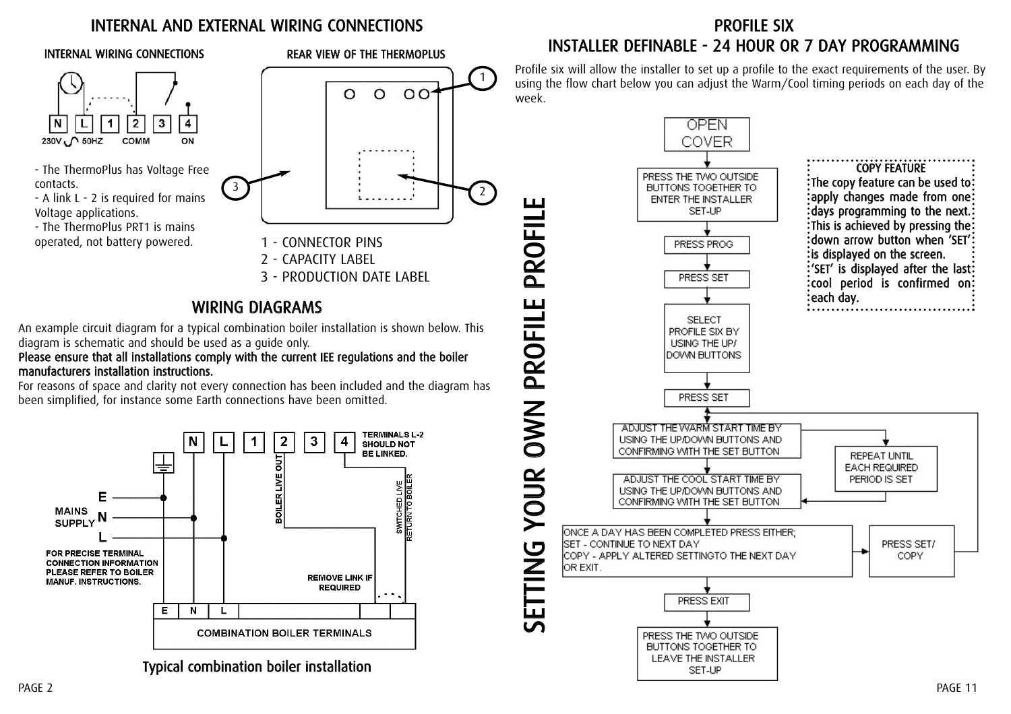#### INTERNAL AND EXTERNAL WIRING CONNECTIONS



- The ThermoPlus has Voltage Free contacts.
- A link L 2 is required for mains Voltage applications.
- The ThermoPlus PRT1 is mains operated, not battery powered.



#### WIRING DIAGRAMS

An example circuit diagram for a typical combination boiler installation is shown below. This diagram is schematic and should be used as a guide only.

Please ensure that all installations comply with the current IEE regulations and the boiler manufacturers installation instructions.

For reasons of space and clarity not every connection has been included and the diagram has been simplified, for instance some Earth connections have been omitted.



Typical combination boiler installation

#### PROFILE SIX INSTALLER DEFINABLE - 24 HOUR OR 7 DAY PROGRAMMING

Profile six will allow the installer to set up a profile to the exact requirements of the user. By using the flow chart below you can adjust the Warm/Cool timing periods on each day of the week.

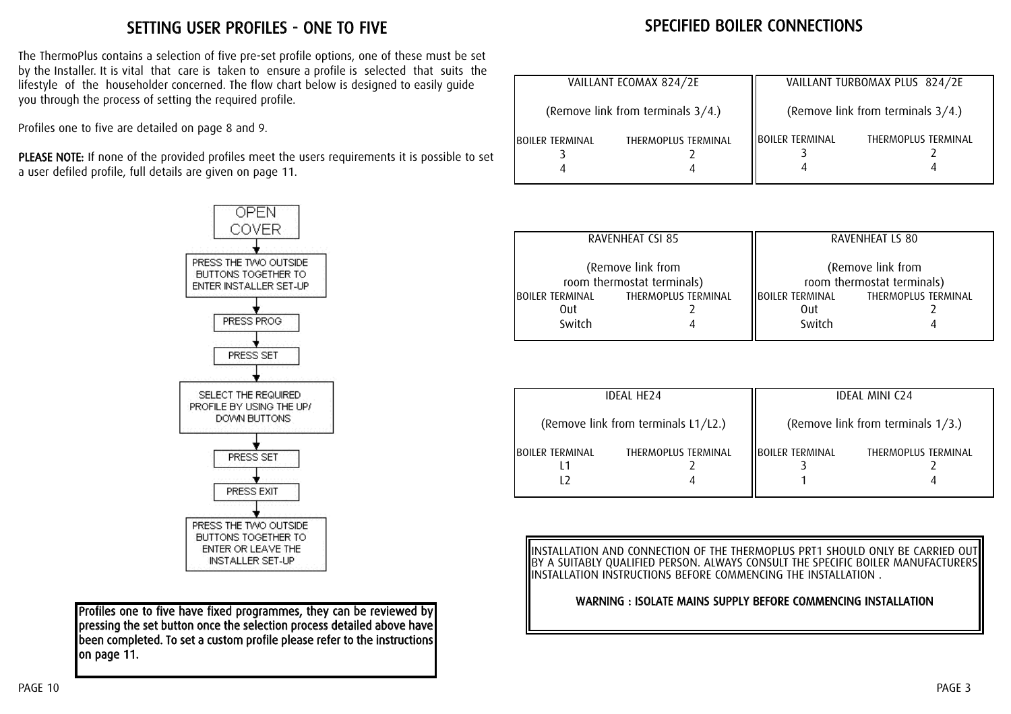#### SETTING USER PROFILES - ONE TO FIVE

The ThermoPlus contains a selection of five pre-set profile options, one of these must be set by the Installer. It is vital that care is taken to ensure a profile is selected that suits the lifestyle of the householder concerned. The flow chart below is designed to easily guide you through the process of setting the required profile.

Profiles one to five are detailed on page 8 and 9.

PLEASE NOTE: If none of the provided profiles meet the users requirements it is possible to set a user defiled profile, full details are given on page 11.



Profiles one to five have fixed programmes, they can be reviewed by pressing the set button once the selection process detailed above have been completed. To set a custom profile please refer to the instructions on page 11.

# SPECIFIED BOILER CONNECTIONS

| VAILLANT ECOMAX 824/2E            |                     | VAILLANT TURBOMAX PLUS 824/2E     |                     |
|-----------------------------------|---------------------|-----------------------------------|---------------------|
| (Remove link from terminals 3/4.) |                     | (Remove link from terminals 3/4.) |                     |
| IBOILER TERMINAL                  | THERMOPLUS TERMINAL | <b>IBOILER TERMINAL</b>           | THERMOPLUS TERMINAL |

| <b>RAVENHEAT CSI 85</b>    | <b>RAVENHEAT LS 80</b>     |  |
|----------------------------|----------------------------|--|
| (Remove link from          | (Remove link from          |  |
| room thermostat terminals) | room thermostat terminals) |  |
| <b>THERMOPLUS TERMINAL</b> | <b>IBOILER TERMINAL</b>    |  |
| IBOILER TERMINAL           | THERMOPLUS TERMINAL        |  |
| Out                        | Out                        |  |
| Switch                     | Switch                     |  |

| <b>IDEAL HE24</b>                   |                     | <b>IDEAL MINI C24</b>             |                     |
|-------------------------------------|---------------------|-----------------------------------|---------------------|
| (Remove link from terminals L1/L2.) |                     | (Remove link from terminals 1/3.) |                     |
| IBOILER TERMINAL                    | THERMOPLUS TERMINAL | IBOILER TERMINAL                  | THERMOPLUS TERMINAL |

INSTALLATION AND CONNECTION OF THE THERMOPLUS PRT1 SHOULD ONLY BE CARRIED OUT BY A SUITABLY QUALIFIED PERSON. ALWAYS CONSULT THE SPECIFIC BOILER MANUFACTURERS INSTALLATION INSTRUCTIONS BEFORE COMMENCING THE INSTALLATION .

WARNING : ISOLATE MAINS SUPPLY BEFORE COMMENCING INSTALLATION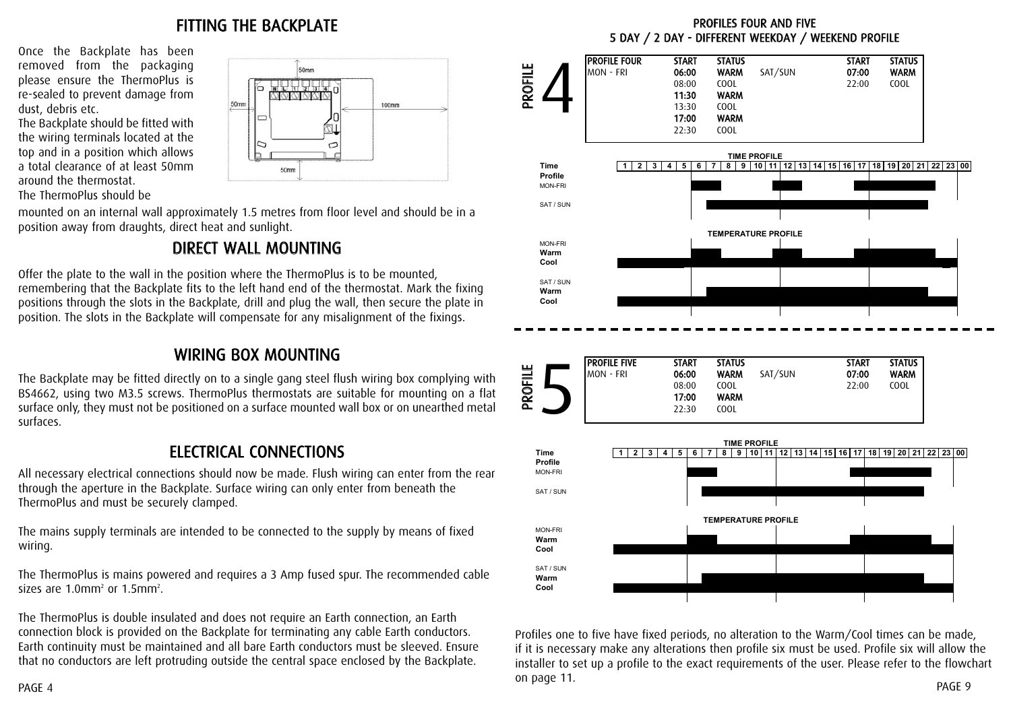#### FITTING THE BACKPLATE

IC

50mm

 $\sigma$ 

100mm

000000

 $50<sub>mn</sub>$ 

Once the Backplate has been removed from the packaging please ensure the ThermoPlus is re-sealed to prevent damage from dust, debris etc.

The Backplate should be fitted with the wiring terminals located at the top and in a position which allows a total clearance of at least 50mm around the thermostat.

The ThermoPlus should be

mounted on an internal wall approximately 1.5 metres from floor level and should be in a position away from draughts, direct heat and sunlight.

 $50<sub>mr</sub>$ 

#### DIRECT WALL MOUNTING

Offer the plate to the wall in the position where the ThermoPlus is to be mounted, remembering that the Backplate fits to the left hand end of the thermostat. Mark the fixing positions through the slots in the Backplate, drill and plug the wall, then secure the plate in position. The slots in the Backplate will compensate for any misalignment of the fixings.

#### WIRING BOX MOUNTING

The Backplate may be fitted directly on to a single gang steel flush wiring box complying with BS4662, using two M3.5 screws. ThermoPlus thermostats are suitable for mounting on a flat surface only, they must not be positioned on a surface mounted wall box or on unearthed metal surfaces.

#### ELECTRICAL CONNECTIONS

All necessary electrical connections should now be made. Flush wiring can enter from the rear through the aperture in the Backplate. Surface wiring can only enter from beneath the ThermoPlus and must be securely clamped.

The mains supply terminals are intended to be connected to the supply by means of fixed wiring.

The ThermoPlus is mains powered and requires a 3 Amp fused spur. The recommended cable sizes are  $1.0$ mm<sup>2</sup> or  $1.5$ mm<sup>2</sup>.

The ThermoPlus is double insulated and does not require an Earth connection, an Earth connection block is provided on the Backplate for terminating any cable Earth conductors. Earth continuity must be maintained and all bare Earth conductors must be sleeved. Ensure that no conductors are left protruding outside the central space enclosed by the Backplate.

PROFILES FOUR AND FIVE 5 DAY / 2 DAY - DIFFERENT WEEKDAY / WEEKEND PROFILE



Profiles one to five have fixed periods, no alteration to the Warm/Cool times can be made, if it is necessary make any alterations then profile six must be used. Profile six will allow the installer to set up a profile to the exact requirements of the user. Please refer to the flowchart on page 11. PAGE 9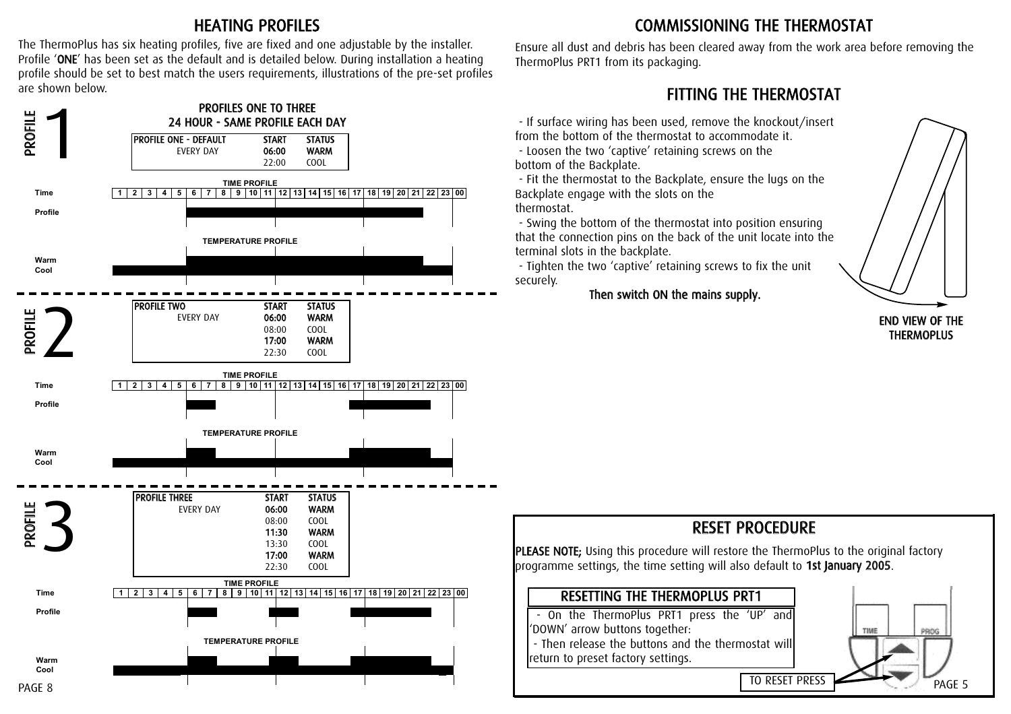#### HEATING PROFILES

The ThermoPlus has six heating profiles, five are fixed and one adjustable by the installer. Profile 'ONE' has been set as the default and is detailed below. During installation a heating profile should be set to best match the users requirements, illustrations of the pre-set profiles are shown below.



### COMMISSIONING THE THERMOSTAT

Ensure all dust and debris has been cleared away from the work area before removing the ThermoPlus PRT1 from its packaging.

#### FITTING THE THERMOSTAT

- If surface wiring has been used, remove the knockout/insert from the bottom of the thermostat to accommodate it. - Loosen the two 'captive' retaining screws on the

bottom of the Backplate.

- Fit the thermostat to the Backplate, ensure the lugs on the Backplate engage with the slots on the thermostat.

- Swing the bottom of the thermostat into position ensuring that the connection pins on the back of the unit locate into the terminal slots in the backplate.

- Tighten the two 'captive' retaining screws to fix the unit securely.

Then switch ON the mains supply.



#### END VIEW OF THE **THERMOPLUS**

## RESET PROCEDURE

PLEASE NOTE; Using this procedure will restore the ThermoPlus to the original factory programme settings, the time setting will also default to 1st January 2005.

#### RESETTING THE THERMOPLUS PRT1 - On the ThermoPlus PRT1 press the 'UP' and 'DOWN' arrow buttons together: TIME PROG - Then release the buttons and the thermostat will return to preset factory settings. TO RESET PRESS